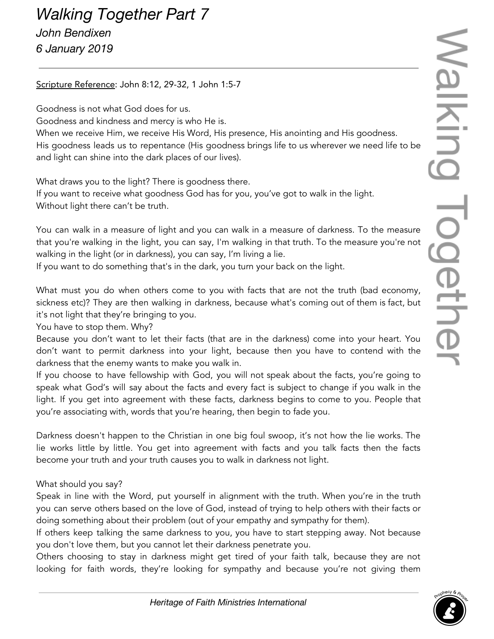## *Walking Together Part 7 John Bendixen 6 January 2019*

## Scripture Reference: John 8:12, 29-32, 1 John 1:5-7

Goodness is not what God does for us.

Goodness and kindness and mercy is who He is.

When we receive Him, we receive His Word, His presence, His anointing and His goodness. His goodness leads us to repentance (His goodness brings life to us wherever we need life to be and light can shine into the dark places of our lives).

What draws you to the light? There is goodness there. If you want to receive what goodness God has for you, you've got to walk in the light. Without light there can't be truth.

You can walk in a measure of light and you can walk in a measure of darkness. To the measure that you're walking in the light, you can say, I'm walking in that truth. To the measure you're not walking in the light (or in darkness), you can say, I'm living a lie.

If you want to do something that's in the dark, you turn your back on the light.

What must you do when others come to you with facts that are not the truth (bad economy, sickness etc)? They are then walking in darkness, because what's coming out of them is fact, but it's not light that they're bringing to you.

You have to stop them. Why?

Because you don't want to let their facts (that are in the darkness) come into your heart. You don't want to permit darkness into your light, because then you have to contend with the darkness that the enemy wants to make you walk in.

If you choose to have fellowship with God, you will not speak about the facts, you're going to speak what God's will say about the facts and every fact is subject to change if you walk in the light. If you get into agreement with these facts, darkness begins to come to you. People that you're associating with, words that you're hearing, then begin to fade you.

Darkness doesn't happen to the Christian in one big foul swoop, it's not how the lie works. The lie works little by little. You get into agreement with facts and you talk facts then the facts become your truth and your truth causes you to walk in darkness not light.

What should you say?

Speak in line with the Word, put yourself in alignment with the truth. When you're in the truth you can serve others based on the love of God, instead of trying to help others with their facts or doing something about their problem (out of your empathy and sympathy for them).

If others keep talking the same darkness to you, you have to start stepping away. Not because you don't love them, but you cannot let their darkness penetrate you.

Others choosing to stay in darkness might get tired of your faith talk, because they are not looking for faith words, they're looking for sympathy and because you're not giving them